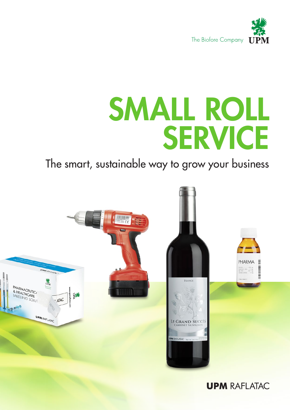

# SMALL ROLL SERVICE

### The smart, sustainable way to grow your business

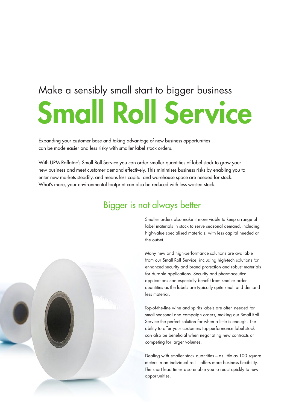# Make a sensibly small start to bigger business Small Roll Service

Expanding your customer base and taking advantage of new business opportunities can be made easier and less risky with smaller label stock orders.

With UPM Raflatac's Small Roll Service you can order smaller quantities of label stock to grow your new business and meet customer demand effectively. This minimises business risks by enabling you to enter new markets steadily, and means less capital and warehouse space are needed for stock. What's more, your environmental footprint can also be reduced with less wasted stock.

#### Bigger is not always better Bigger is not always better



Smaller orders also make it more viable to keep a range of label materials in stock to serve seasonal demand, including high-value specialised materials, with less capital needed at the outset.

Many new and high-performance solutions are available from our Small Roll Service, including high-tech solutions for enhanced security and brand protection and robust materials for durable applications. Security and pharmaceutical applications can especially benefit from smaller order quantities as the labels are typically quite small and demand less material.

Top-of-the-line wine and spirits labels are often needed for small seasonal and campaign orders, making our Small Roll Service the perfect solution for when a little is enough. The ability to offer your customers top-performance label stock can also be beneficial when negotiating new contracts or competing for larger volumes.

Dealing with smaller stock quantities – as little as 100 square meters in an individual roll – offers more business flexibility. The short lead times also enable you to react quickly to new opportunities.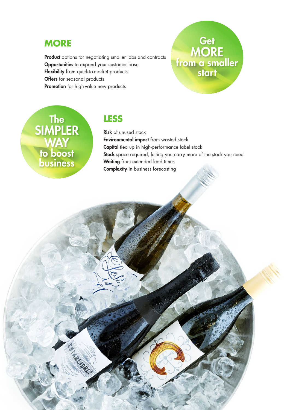#### **MORE**

Product options for negotiating smaller jobs and contracts **Opportunities** to expand your customer base Flexibility from quick-to-market products **Offers** for seasonal products **Promotion** for high-value new products

## **Get MORE** from a smaller start

The The SIMPLER WAY to boost business

N BL SHE

#### **LESS**

Risk of unused stock Environmental impact from wasted stock Capital tied up in high-performance label stock Stock space required, letting you carry more of the stock you need Waiting from extended lead times **Complexity** in business forecasting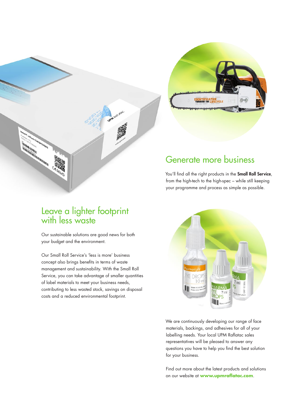

#### **Generate more business** Generate more business

You'll find all the right products in the **Small Roll Service**, from the high-tech to the high-spec – while still keeping your programme and process as simple as possible.

#### Leave a lighter footprint with less waste

Our sustainable solutions are good news for both your budget and the environment.

Our Small Roll Service's 'less is more' business concept also brings benefits in terms of waste management and sustainability. With the Small Roll Service, you can take advantage of smaller quantities of label materials to meet your business needs, contributing to less wasted stock, savings on disposal costs and a reduced environmental footprint.



We are continuously developing our range of face materials, backings, and adhesives for all of your labelling needs. Your local UPM Raflatac sales representatives will be pleased to answer any questions you have to help you find the best solution for your business.

Find out more about the latest products and solutions on our website at **www.upmraflatac.com**.